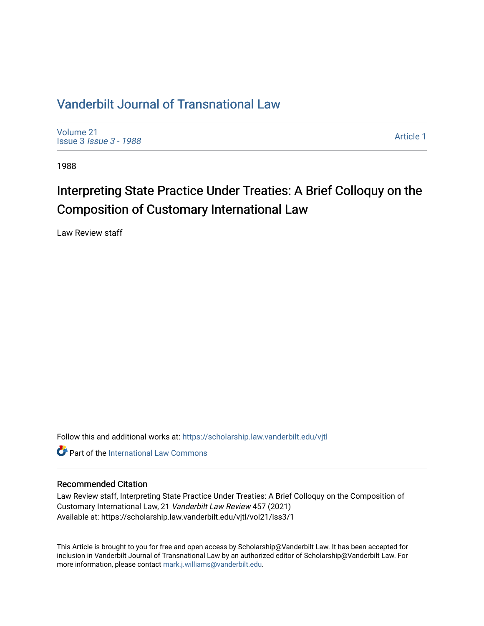### [Vanderbilt Journal of Transnational Law](https://scholarship.law.vanderbilt.edu/vjtl)

[Volume 21](https://scholarship.law.vanderbilt.edu/vjtl/vol21) Issue 3 [Issue 3 - 1988](https://scholarship.law.vanderbilt.edu/vjtl/vol21/iss3)

[Article 1](https://scholarship.law.vanderbilt.edu/vjtl/vol21/iss3/1) 

1988

# Interpreting State Practice Under Treaties: A Brief Colloquy on the Composition of Customary International Law

Law Review staff

Follow this and additional works at: [https://scholarship.law.vanderbilt.edu/vjtl](https://scholarship.law.vanderbilt.edu/vjtl?utm_source=scholarship.law.vanderbilt.edu%2Fvjtl%2Fvol21%2Fiss3%2F1&utm_medium=PDF&utm_campaign=PDFCoverPages) 

**C** Part of the International Law Commons

#### Recommended Citation

Law Review staff, Interpreting State Practice Under Treaties: A Brief Colloquy on the Composition of Customary International Law, 21 Vanderbilt Law Review 457 (2021) Available at: https://scholarship.law.vanderbilt.edu/vjtl/vol21/iss3/1

This Article is brought to you for free and open access by Scholarship@Vanderbilt Law. It has been accepted for inclusion in Vanderbilt Journal of Transnational Law by an authorized editor of Scholarship@Vanderbilt Law. For more information, please contact [mark.j.williams@vanderbilt.edu](mailto:mark.j.williams@vanderbilt.edu).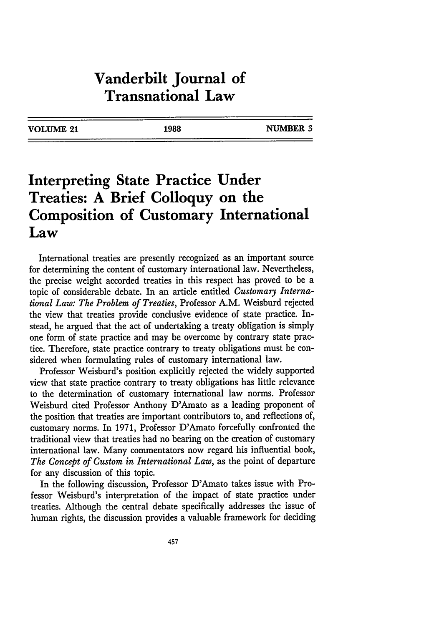### **Vanderbilt Journal of Transnational Law**

| VOLUME 21 | 1988 | NUMBER 3 |
|-----------|------|----------|
|           |      |          |

## **Interpreting State Practice Under Treaties: A Brief Colloquy on the Composition of Customary International Law**

International treaties are presently recognized as an important source for determining the content of customary international law. Nevertheless, the precise weight accorded treaties in this respect has proved to be a topic of considerable debate. In an article entitled *Customary International Law: The Problem of Treaties,* Professor A.M. Weisburd rejected the view that treaties provide conclusive evidence of state practice. Instead, he argued that the act of undertaking a treaty obligation is simply one form of state practice and may be overcome by contrary state practice. Therefore, state practice contrary to treaty obligations must be considered when formulating rules of customary international law.

Professor Weisburd's position explicitly rejected the widely supported view that state practice contrary to treaty obligations has little relevance to the determination of customary international law norms. Professor Weisburd cited Professor Anthony D'Amato as a leading proponent of the position that treaties are important contributors to, and reflections of, customary norms. In 1971, Professor D'Amato forcefully confronted the traditional view that treaties had no bearing on the creation of customary international law. Many commentators now regard his influential book, *The Concept of Custom in International Law,* as the point of departure for any discussion of this topic.

In the following discussion, Professor D'Amato takes issue with Professor Weisburd's interpretation of the impact of state practice under treaties. Although the central debate specifically addresses the issue of human rights, the discussion provides a valuable framework for deciding